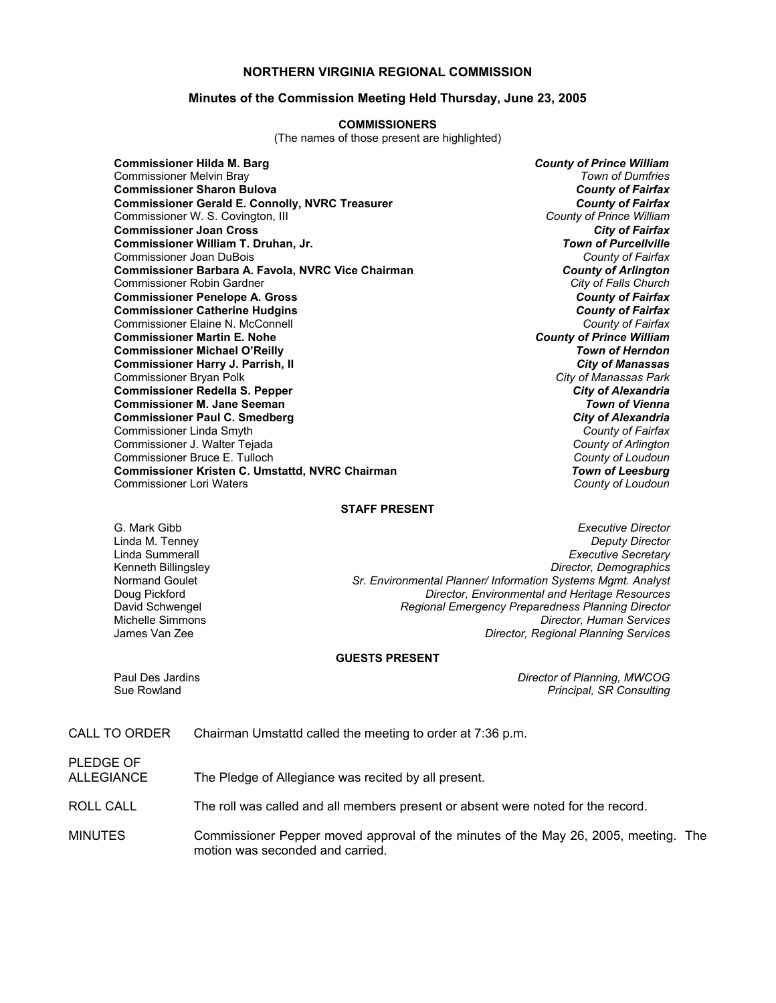# **NORTHERN VIRGINIA REGIONAL COMMISSION**

## **Minutes of the Commission Meeting Held Thursday, June 23, 2005**

#### **COMMISSIONERS**

(The names of those present are highlighted)

**Commissioner Hilda M. Barg** *County of Prince William* Commissioner Melvin Bray *Town of Dumfries* **Commissioner Sharon Bulova** *County of Fairfax* **Commissioner Gerald E. Connolly, NVRC Treasurer** *Commissioner County of Fairfax***<br>Commissioner W. S. Covington, Ill <b>County of Fairfax** *County of Prince William* Commissioner W. S. Covington, III **Commissioner Joan Cross** *City of Fairfax* **Commissioner William T. Druhan, Jr.** *Town of Purcellville* Commissioner Joan DuBois *County of Fairfax* **Commissioner Barbara A. Favola, NVRC Vice Chairman** *County of Arlington* Commissioner Robin Gardner *City of Falls Church* **Commissioner Penelope A. Gross** *County of Fairfax* **Commissioner Catherine Hudgins** *County of Fairfax* Commissioner Elaine N. McConnell *County of Fairfax* **Commissioner Martin E. Nohe Commissioner Michael O'Reilly** *Town of Herndon* **Commissioner Harry J. Parrish, II** *City of Manassas* Commissioner Bryan Polk *City of Manassas Park* **Commissioner Redella S. Pepper** *City of Alexandria* **Commissioner M. Jane Seeman** *Town of Vienna* **Commissioner Paul C. Smedberg** *City of Alexandria* Commissioner Linda Smyth *County of Fairfax* Commissioner J. Walter Tejada *County of Arlington* Commissioner Bruce E. Tulloch *County of Loudoun* **Commissioner Kristen C. Umstattd, NVRC Chairman** *Town of Leesburg* Commissioner Lori Waters *County of Loudoun*

#### **STAFF PRESENT**

G. Mark Gibb *Executive Director* Linda M. Tenney *Deputy Director* Linda Summerall *Executive Secretary* Kenneth Billingsley *Director, Demographics* Sr. Environmental Planner/ Information Systems Mgmt. Analyst Doug Pickford *Director, Environmental and Heritage Resources* David Schwengel *Regional Emergency Preparedness Planning Director* Michelle Simmons *Director, Human Services* **Director, Regional Planning Services** 

## **GUESTS PRESENT**

Paul Des Jardins *Director of Planning, MWCOG* **Principal, SR Consulting** 

# CALL TO ORDER Chairman Umstattd called the meeting to order at 7:36 p.m.

PLEDGE OF

ALLEGIANCE The Pledge of Allegiance was recited by all present.

ROLL CALL The roll was called and all members present or absent were noted for the record.

#### MINUTES Commissioner Pepper moved approval of the minutes of the May 26, 2005, meeting. The motion was seconded and carried.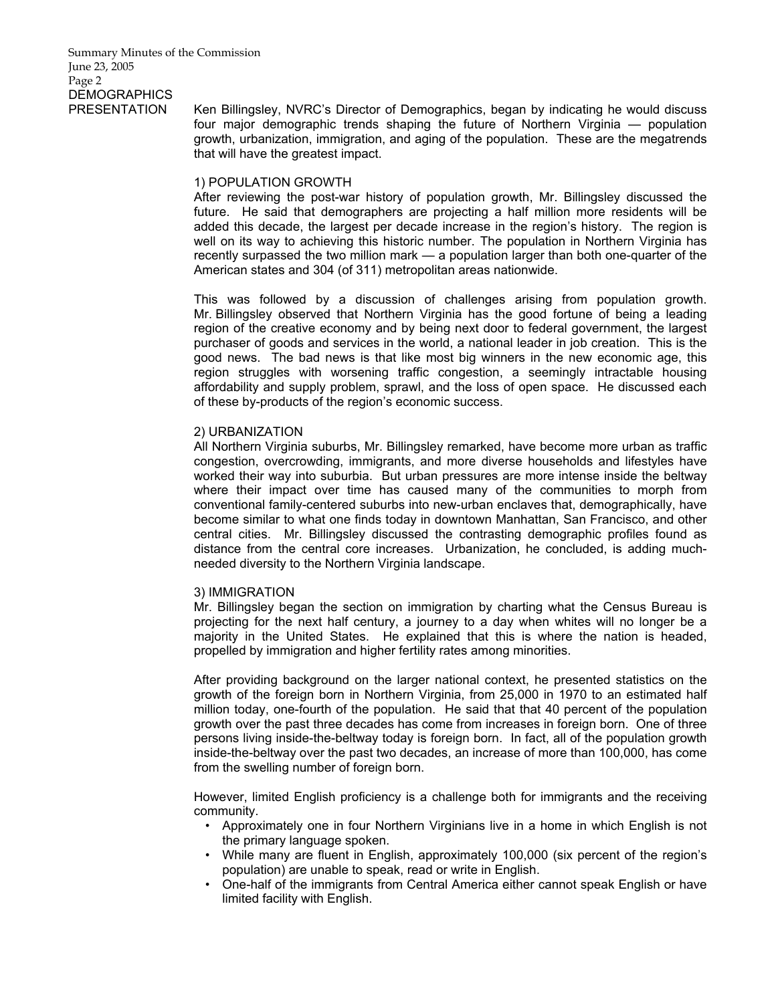PRESENTATION Ken Billingsley, NVRC's Director of Demographics, began by indicating he would discuss four major demographic trends shaping the future of Northern Virginia — population growth, urbanization, immigration, and aging of the population. These are the megatrends that will have the greatest impact.

# 1) POPULATION GROWTH

After reviewing the post-war history of population growth, Mr. Billingsley discussed the future. He said that demographers are projecting a half million more residents will be added this decade, the largest per decade increase in the region's history. The region is well on its way to achieving this historic number. The population in Northern Virginia has recently surpassed the two million mark — a population larger than both one-quarter of the American states and 304 (of 311) metropolitan areas nationwide.

This was followed by a discussion of challenges arising from population growth. Mr. Billingsley observed that Northern Virginia has the good fortune of being a leading region of the creative economy and by being next door to federal government, the largest purchaser of goods and services in the world, a national leader in job creation. This is the good news. The bad news is that like most big winners in the new economic age, this region struggles with worsening traffic congestion, a seemingly intractable housing affordability and supply problem, sprawl, and the loss of open space. He discussed each of these by-products of the region's economic success.

# 2) URBANIZATION

All Northern Virginia suburbs, Mr. Billingsley remarked, have become more urban as traffic congestion, overcrowding, immigrants, and more diverse households and lifestyles have worked their way into suburbia. But urban pressures are more intense inside the beltway where their impact over time has caused many of the communities to morph from conventional family-centered suburbs into new-urban enclaves that, demographically, have become similar to what one finds today in downtown Manhattan, San Francisco, and other central cities. Mr. Billingsley discussed the contrasting demographic profiles found as distance from the central core increases. Urbanization, he concluded, is adding muchneeded diversity to the Northern Virginia landscape.

#### 3) IMMIGRATION

Mr. Billingsley began the section on immigration by charting what the Census Bureau is projecting for the next half century, a journey to a day when whites will no longer be a majority in the United States. He explained that this is where the nation is headed, propelled by immigration and higher fertility rates among minorities.

After providing background on the larger national context, he presented statistics on the growth of the foreign born in Northern Virginia, from 25,000 in 1970 to an estimated half million today, one-fourth of the population. He said that that 40 percent of the population growth over the past three decades has come from increases in foreign born. One of three persons living inside-the-beltway today is foreign born. In fact, all of the population growth inside-the-beltway over the past two decades, an increase of more than 100,000, has come from the swelling number of foreign born.

However, limited English proficiency is a challenge both for immigrants and the receiving community.

- Approximately one in four Northern Virginians live in a home in which English is not the primary language spoken.
- While many are fluent in English, approximately 100,000 (six percent of the region's population) are unable to speak, read or write in English.
- One-half of the immigrants from Central America either cannot speak English or have limited facility with English.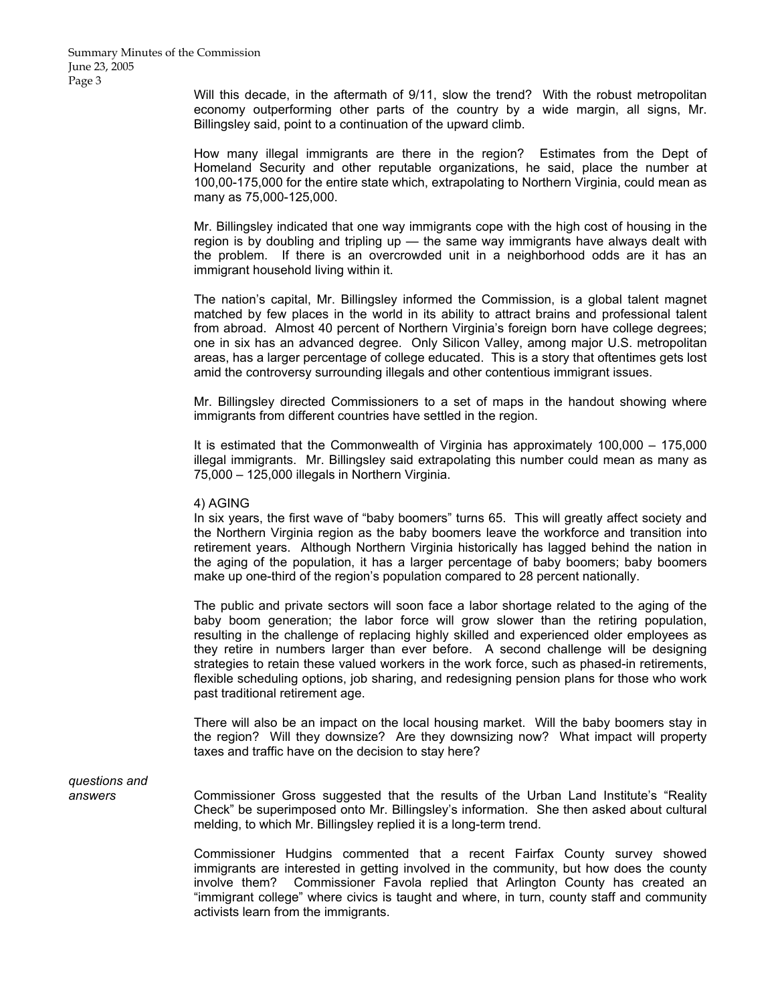Will this decade, in the aftermath of 9/11, slow the trend? With the robust metropolitan economy outperforming other parts of the country by a wide margin, all signs, Mr. Billingsley said, point to a continuation of the upward climb.

How many illegal immigrants are there in the region? Estimates from the Dept of Homeland Security and other reputable organizations, he said, place the number at 100,00-175,000 for the entire state which, extrapolating to Northern Virginia, could mean as many as 75,000-125,000.

Mr. Billingsley indicated that one way immigrants cope with the high cost of housing in the region is by doubling and tripling up — the same way immigrants have always dealt with the problem. If there is an overcrowded unit in a neighborhood odds are it has an immigrant household living within it.

The nation's capital, Mr. Billingsley informed the Commission, is a global talent magnet matched by few places in the world in its ability to attract brains and professional talent from abroad. Almost 40 percent of Northern Virginia's foreign born have college degrees; one in six has an advanced degree. Only Silicon Valley, among major U.S. metropolitan areas, has a larger percentage of college educated. This is a story that oftentimes gets lost amid the controversy surrounding illegals and other contentious immigrant issues.

Mr. Billingsley directed Commissioners to a set of maps in the handout showing where immigrants from different countries have settled in the region.

It is estimated that the Commonwealth of Virginia has approximately 100,000 – 175,000 illegal immigrants. Mr. Billingsley said extrapolating this number could mean as many as 75,000 – 125,000 illegals in Northern Virginia.

4) AGING

In six years, the first wave of "baby boomers" turns 65. This will greatly affect society and the Northern Virginia region as the baby boomers leave the workforce and transition into retirement years. Although Northern Virginia historically has lagged behind the nation in the aging of the population, it has a larger percentage of baby boomers; baby boomers make up one-third of the region's population compared to 28 percent nationally.

The public and private sectors will soon face a labor shortage related to the aging of the baby boom generation; the labor force will grow slower than the retiring population, resulting in the challenge of replacing highly skilled and experienced older employees as they retire in numbers larger than ever before. A second challenge will be designing strategies to retain these valued workers in the work force, such as phased-in retirements, flexible scheduling options, job sharing, and redesigning pension plans for those who work past traditional retirement age.

There will also be an impact on the local housing market. Will the baby boomers stay in the region? Will they downsize? Are they downsizing now? What impact will property taxes and traffic have on the decision to stay here?

*questions and* 

*answers* Commissioner Gross suggested that the results of the Urban Land Institute's "Reality Check" be superimposed onto Mr. Billingsley's information. She then asked about cultural melding, to which Mr. Billingsley replied it is a long-term trend.

> Commissioner Hudgins commented that a recent Fairfax County survey showed immigrants are interested in getting involved in the community, but how does the county involve them? Commissioner Favola replied that Arlington County has created an "immigrant college" where civics is taught and where, in turn, county staff and community activists learn from the immigrants.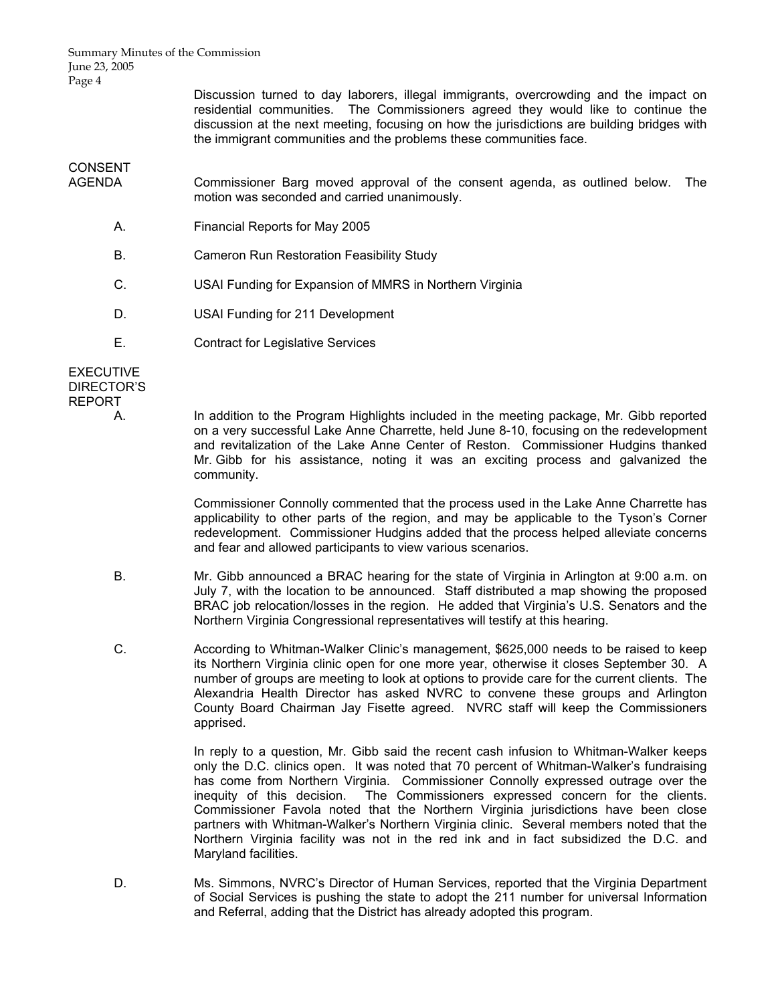Summary Minutes of the Commission June 23, 2005 Page 4

> Discussion turned to day laborers, illegal immigrants, overcrowding and the impact on residential communities. The Commissioners agreed they would like to continue the discussion at the next meeting, focusing on how the jurisdictions are building bridges with the immigrant communities and the problems these communities face.

CONSENT<br>AGENDA

Commissioner Barg moved approval of the consent agenda, as outlined below. The motion was seconded and carried unanimously.

- A. Financial Reports for May 2005
- B. Cameron Run Restoration Feasibility Study
- C. USAI Funding for Expansion of MMRS in Northern Virginia
- D. USAI Funding for 211 Development
- E. Contract for Legislative Services

**EXECUTIVE** DIRECTOR'S REPORT

> A. In addition to the Program Highlights included in the meeting package, Mr. Gibb reported on a very successful Lake Anne Charrette, held June 8-10, focusing on the redevelopment and revitalization of the Lake Anne Center of Reston. Commissioner Hudgins thanked Mr. Gibb for his assistance, noting it was an exciting process and galvanized the community.

> > Commissioner Connolly commented that the process used in the Lake Anne Charrette has applicability to other parts of the region, and may be applicable to the Tyson's Corner redevelopment. Commissioner Hudgins added that the process helped alleviate concerns and fear and allowed participants to view various scenarios.

- B. Mr. Gibb announced a BRAC hearing for the state of Virginia in Arlington at 9:00 a.m. on July 7, with the location to be announced. Staff distributed a map showing the proposed BRAC job relocation/losses in the region. He added that Virginia's U.S. Senators and the Northern Virginia Congressional representatives will testify at this hearing.
- C. According to Whitman-Walker Clinic's management, \$625,000 needs to be raised to keep its Northern Virginia clinic open for one more year, otherwise it closes September 30. A number of groups are meeting to look at options to provide care for the current clients. The Alexandria Health Director has asked NVRC to convene these groups and Arlington County Board Chairman Jay Fisette agreed. NVRC staff will keep the Commissioners apprised.

 In reply to a question, Mr. Gibb said the recent cash infusion to Whitman-Walker keeps only the D.C. clinics open. It was noted that 70 percent of Whitman-Walker's fundraising has come from Northern Virginia. Commissioner Connolly expressed outrage over the inequity of this decision. The Commissioners expressed concern for the clients. Commissioner Favola noted that the Northern Virginia jurisdictions have been close partners with Whitman-Walker's Northern Virginia clinic. Several members noted that the Northern Virginia facility was not in the red ink and in fact subsidized the D.C. and Maryland facilities.

 D. Ms. Simmons, NVRC's Director of Human Services, reported that the Virginia Department of Social Services is pushing the state to adopt the 211 number for universal Information and Referral, adding that the District has already adopted this program.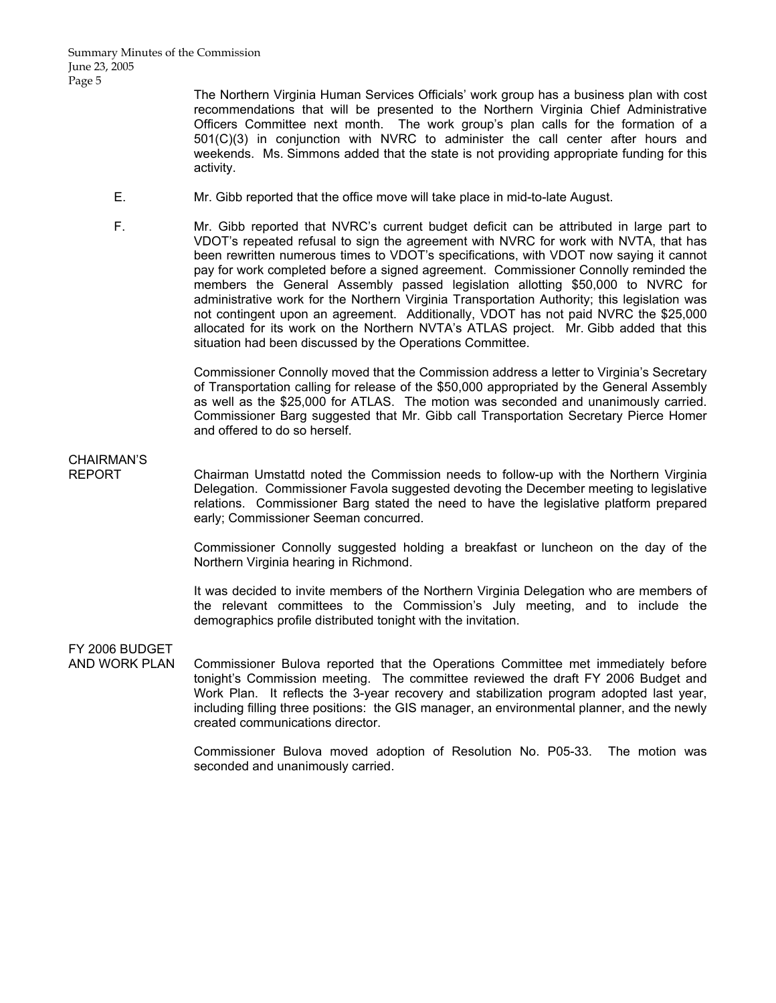The Northern Virginia Human Services Officials' work group has a business plan with cost recommendations that will be presented to the Northern Virginia Chief Administrative Officers Committee next month. The work group's plan calls for the formation of a 501(C)(3) in conjunction with NVRC to administer the call center after hours and weekends. Ms. Simmons added that the state is not providing appropriate funding for this activity.

- E. Mr. Gibb reported that the office move will take place in mid-to-late August.
- F. Mr. Gibb reported that NVRC's current budget deficit can be attributed in large part to VDOT's repeated refusal to sign the agreement with NVRC for work with NVTA, that has been rewritten numerous times to VDOT's specifications, with VDOT now saying it cannot pay for work completed before a signed agreement. Commissioner Connolly reminded the members the General Assembly passed legislation allotting \$50,000 to NVRC for administrative work for the Northern Virginia Transportation Authority; this legislation was not contingent upon an agreement. Additionally, VDOT has not paid NVRC the \$25,000 allocated for its work on the Northern NVTA's ATLAS project. Mr. Gibb added that this situation had been discussed by the Operations Committee.

 Commissioner Connolly moved that the Commission address a letter to Virginia's Secretary of Transportation calling for release of the \$50,000 appropriated by the General Assembly as well as the \$25,000 for ATLAS. The motion was seconded and unanimously carried. Commissioner Barg suggested that Mr. Gibb call Transportation Secretary Pierce Homer and offered to do so herself.

# CHAIRMAN'S

REPORT Chairman Umstattd noted the Commission needs to follow-up with the Northern Virginia Delegation. Commissioner Favola suggested devoting the December meeting to legislative relations. Commissioner Barg stated the need to have the legislative platform prepared early; Commissioner Seeman concurred.

> Commissioner Connolly suggested holding a breakfast or luncheon on the day of the Northern Virginia hearing in Richmond.

> It was decided to invite members of the Northern Virginia Delegation who are members of the relevant committees to the Commission's July meeting, and to include the demographics profile distributed tonight with the invitation.

FY 2006 BUDGET

Commissioner Bulova reported that the Operations Committee met immediately before tonight's Commission meeting. The committee reviewed the draft FY 2006 Budget and Work Plan. It reflects the 3-year recovery and stabilization program adopted last year, including filling three positions: the GIS manager, an environmental planner, and the newly created communications director.

> Commissioner Bulova moved adoption of Resolution No. P05-33. The motion was seconded and unanimously carried.